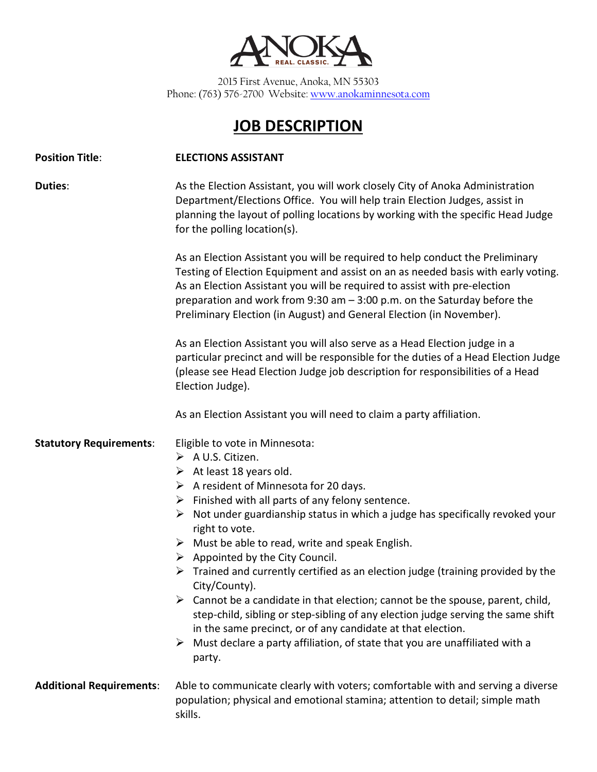

2015 First Avenue, Anoka, MN 55303 Phone: (763) 576-2700 Website[: www.anokaminnesota.com](http://www.anokaminnesota.com/)

## **JOB DESCRIPTION**

| <b>Position Title:</b>          | <b>ELECTIONS ASSISTANT</b>                                                                                                                                                                                                                                                                                                                                                                                                                                                                                                                                                                                                                                                                                                                                                                                                                                                                                                                                |
|---------------------------------|-----------------------------------------------------------------------------------------------------------------------------------------------------------------------------------------------------------------------------------------------------------------------------------------------------------------------------------------------------------------------------------------------------------------------------------------------------------------------------------------------------------------------------------------------------------------------------------------------------------------------------------------------------------------------------------------------------------------------------------------------------------------------------------------------------------------------------------------------------------------------------------------------------------------------------------------------------------|
| <b>Duties:</b>                  | As the Election Assistant, you will work closely City of Anoka Administration<br>Department/Elections Office. You will help train Election Judges, assist in<br>planning the layout of polling locations by working with the specific Head Judge<br>for the polling location(s).                                                                                                                                                                                                                                                                                                                                                                                                                                                                                                                                                                                                                                                                          |
|                                 | As an Election Assistant you will be required to help conduct the Preliminary<br>Testing of Election Equipment and assist on an as needed basis with early voting.<br>As an Election Assistant you will be required to assist with pre-election<br>preparation and work from 9:30 am $-$ 3:00 p.m. on the Saturday before the<br>Preliminary Election (in August) and General Election (in November).                                                                                                                                                                                                                                                                                                                                                                                                                                                                                                                                                     |
|                                 | As an Election Assistant you will also serve as a Head Election judge in a<br>particular precinct and will be responsible for the duties of a Head Election Judge<br>(please see Head Election Judge job description for responsibilities of a Head<br>Election Judge).                                                                                                                                                                                                                                                                                                                                                                                                                                                                                                                                                                                                                                                                                   |
|                                 | As an Election Assistant you will need to claim a party affiliation.                                                                                                                                                                                                                                                                                                                                                                                                                                                                                                                                                                                                                                                                                                                                                                                                                                                                                      |
| <b>Statutory Requirements:</b>  | Eligible to vote in Minnesota:<br>$\triangleright$ A U.S. Citizen.<br>$\triangleright$ At least 18 years old.<br>$\triangleright$ A resident of Minnesota for 20 days.<br>$\triangleright$ Finished with all parts of any felony sentence.<br>$\triangleright$ Not under guardianship status in which a judge has specifically revoked your<br>right to vote.<br>$\triangleright$ Must be able to read, write and speak English.<br>$\triangleright$ Appointed by the City Council.<br>$\triangleright$ Trained and currently certified as an election judge (training provided by the<br>City/County).<br>$\triangleright$ Cannot be a candidate in that election; cannot be the spouse, parent, child,<br>step-child, sibling or step-sibling of any election judge serving the same shift<br>in the same precinct, or of any candidate at that election.<br>Must declare a party affiliation, of state that you are unaffiliated with a<br>➤<br>party. |
| <b>Additional Requirements:</b> | Able to communicate clearly with voters; comfortable with and serving a diverse<br>population; physical and emotional stamina; attention to detail; simple math<br>skills.                                                                                                                                                                                                                                                                                                                                                                                                                                                                                                                                                                                                                                                                                                                                                                                |